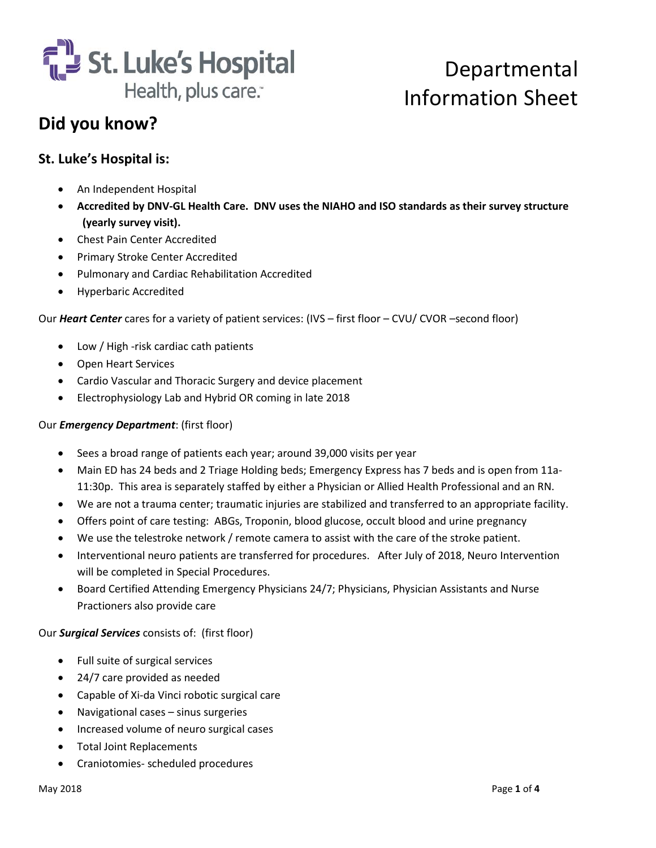

### **Did you know?**

#### **St. Luke's Hospital is:**

- An Independent Hospital
- **Accredited by DNV-GL Health Care. DNV uses the NIAHO and ISO standards as their survey structure (yearly survey visit).**
- Chest Pain Center Accredited
- Primary Stroke Center Accredited
- Pulmonary and Cardiac Rehabilitation Accredited
- Hyperbaric Accredited

Our *Heart Center* cares for a variety of patient services: (IVS – first floor – CVU/ CVOR –second floor)

- Low / High -risk cardiac cath patients
- Open Heart Services
- Cardio Vascular and Thoracic Surgery and device placement
- Electrophysiology Lab and Hybrid OR coming in late 2018

#### Our *Emergency Department*: (first floor)

- Sees a broad range of patients each year; around 39,000 visits per year
- Main ED has 24 beds and 2 Triage Holding beds; Emergency Express has 7 beds and is open from 11a-11:30p. This area is separately staffed by either a Physician or Allied Health Professional and an RN.
- We are not a trauma center; traumatic injuries are stabilized and transferred to an appropriate facility.
- Offers point of care testing: ABGs, Troponin, blood glucose, occult blood and urine pregnancy
- We use the telestroke network / remote camera to assist with the care of the stroke patient.
- Interventional neuro patients are transferred for procedures. After July of 2018, Neuro Intervention will be completed in Special Procedures.
- Board Certified Attending Emergency Physicians 24/7; Physicians, Physician Assistants and Nurse Practioners also provide care

Our *Surgical Services* consists of: (first floor)

- Full suite of surgical services
- 24/7 care provided as needed
- Capable of Xi-da Vinci robotic surgical care
- Navigational cases sinus surgeries
- Increased volume of neuro surgical cases
- Total Joint Replacements
- Craniotomies- scheduled procedures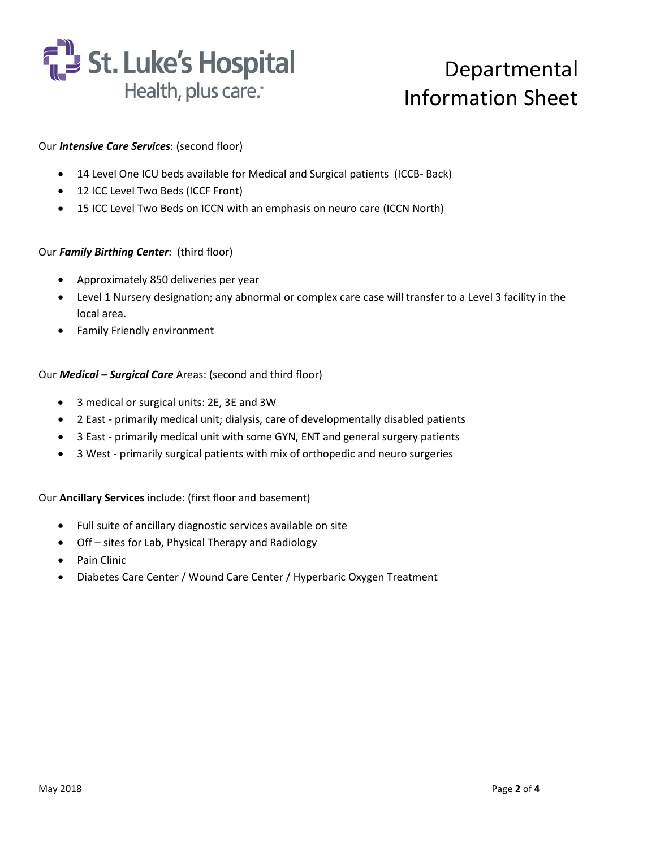

#### Our *Intensive Care Services*: (second floor)

- 14 Level One ICU beds available for Medical and Surgical patients (ICCB- Back)
- 12 ICC Level Two Beds (ICCF Front)
- 15 ICC Level Two Beds on ICCN with an emphasis on neuro care (ICCN North)

#### Our *Family Birthing Center*: (third floor)

- Approximately 850 deliveries per year
- Level 1 Nursery designation; any abnormal or complex care case will transfer to a Level 3 facility in the local area.
- Family Friendly environment

#### Our *Medical – Surgical Care* Areas: (second and third floor)

- 3 medical or surgical units: 2E, 3E and 3W
- 2 East primarily medical unit; dialysis, care of developmentally disabled patients
- 3 East primarily medical unit with some GYN, ENT and general surgery patients
- 3 West primarily surgical patients with mix of orthopedic and neuro surgeries

#### Our **Ancillary Services** include: (first floor and basement)

- Full suite of ancillary diagnostic services available on site
- Off sites for Lab, Physical Therapy and Radiology
- Pain Clinic
- Diabetes Care Center / Wound Care Center / Hyperbaric Oxygen Treatment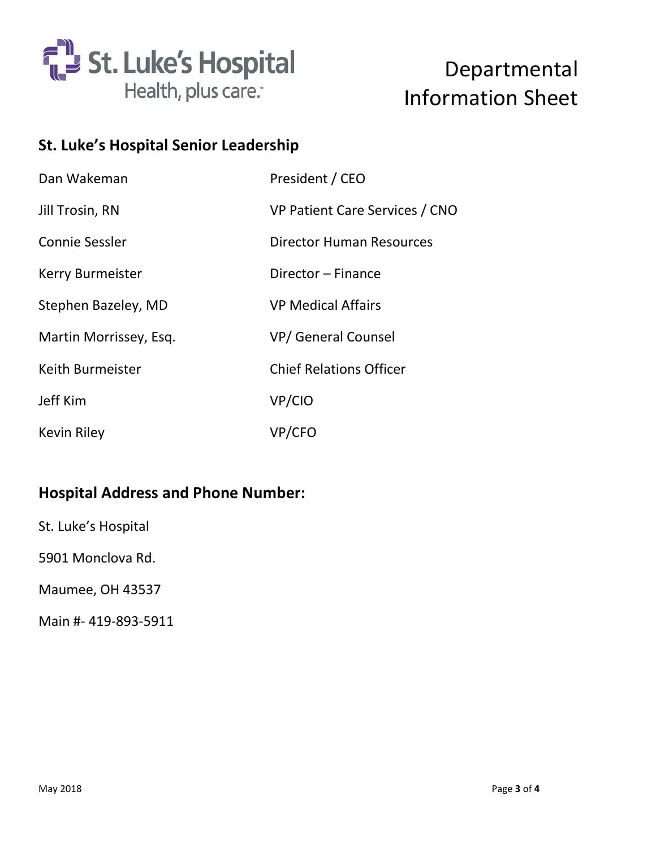

### **St. Luke's Hospital Senior Leadership**

| Dan Wakeman            | President / CEO                |  |
|------------------------|--------------------------------|--|
| Jill Trosin, RN        | VP Patient Care Services / CNO |  |
| Connie Sessler         | Director Human Resources       |  |
| Kerry Burmeister       | Director – Finance             |  |
| Stephen Bazeley, MD    | <b>VP Medical Affairs</b>      |  |
| Martin Morrissey, Esq. | <b>VP/ General Counsel</b>     |  |
| Keith Burmeister       | <b>Chief Relations Officer</b> |  |
| Jeff Kim               | VP/CIO                         |  |
| <b>Kevin Riley</b>     | VP/CFO                         |  |

### **Hospital Address and Phone Number:**

St. Luke's Hospital

5901 Monclova Rd.

Maumee, OH 43537

Main #- 419-893-5911